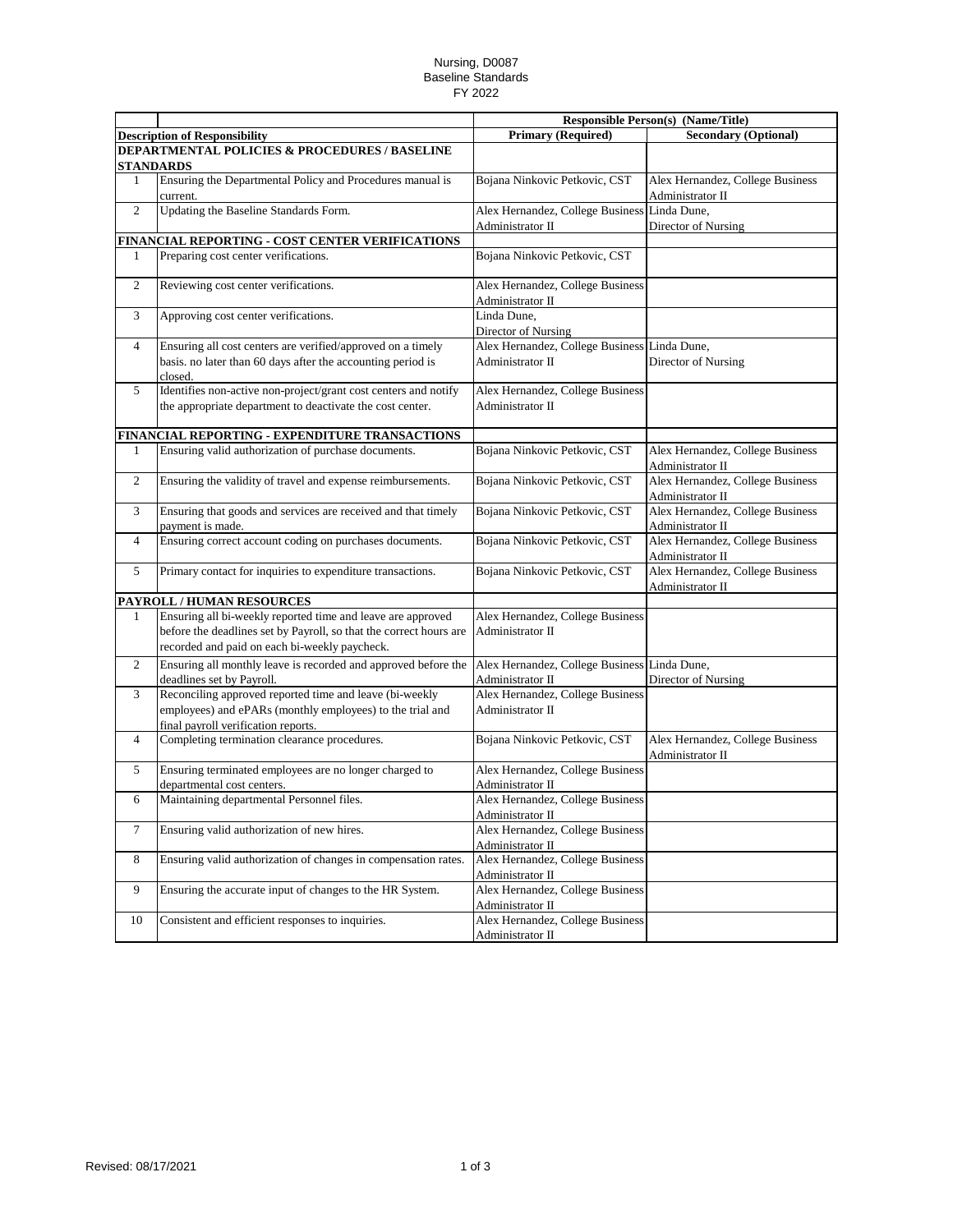## Nursing, D0087 Baseline Standards FY 2022

|                |                                                                                                                                                                                    |                                                                  | <b>Responsible Person(s) (Name/Title)</b>            |  |
|----------------|------------------------------------------------------------------------------------------------------------------------------------------------------------------------------------|------------------------------------------------------------------|------------------------------------------------------|--|
|                | <b>Description of Responsibility</b>                                                                                                                                               | <b>Primary (Required)</b>                                        | <b>Secondary (Optional)</b>                          |  |
|                | <b>DEPARTMENTAL POLICIES &amp; PROCEDURES / BASELINE</b><br><b>STANDARDS</b>                                                                                                       |                                                                  |                                                      |  |
| 1              | Ensuring the Departmental Policy and Procedures manual is<br>current.                                                                                                              | Bojana Ninkovic Petkovic, CST                                    | Alex Hernandez, College Business<br>Administrator II |  |
| 2              | Updating the Baseline Standards Form.                                                                                                                                              | Alex Hernandez, College Business<br>Administrator II             | Linda Dune.<br>Director of Nursing                   |  |
|                | FINANCIAL REPORTING - COST CENTER VERIFICATIONS                                                                                                                                    |                                                                  |                                                      |  |
| 1              | Preparing cost center verifications.                                                                                                                                               | Bojana Ninkovic Petkovic, CST                                    |                                                      |  |
| $\overline{c}$ | Reviewing cost center verifications.                                                                                                                                               | Alex Hernandez, College Business<br>Administrator II             |                                                      |  |
| 3              | Approving cost center verifications.                                                                                                                                               | Linda Dune,<br>Director of Nursing                               |                                                      |  |
| $\overline{4}$ | Ensuring all cost centers are verified/approved on a timely<br>basis, no later than 60 days after the accounting period is<br>closed.                                              | Alex Hernandez, College Business Linda Dune,<br>Administrator II | Director of Nursing                                  |  |
| 5              | Identifies non-active non-project/grant cost centers and notify<br>the appropriate department to deactivate the cost center.                                                       | Alex Hernandez, College Business<br>Administrator II             |                                                      |  |
|                | FINANCIAL REPORTING - EXPENDITURE TRANSACTIONS                                                                                                                                     |                                                                  |                                                      |  |
| 1              | Ensuring valid authorization of purchase documents.                                                                                                                                | Bojana Ninkovic Petkovic, CST                                    | Alex Hernandez, College Business<br>Administrator II |  |
| 2              | Ensuring the validity of travel and expense reimbursements.                                                                                                                        | Bojana Ninkovic Petkovic, CST                                    | Alex Hernandez, College Business<br>Administrator II |  |
| 3              | Ensuring that goods and services are received and that timely<br>payment is made.                                                                                                  | Bojana Ninkovic Petkovic, CST                                    | Alex Hernandez, College Business<br>Administrator II |  |
| $\overline{4}$ | Ensuring correct account coding on purchases documents.                                                                                                                            | Bojana Ninkovic Petkovic, CST                                    | Alex Hernandez, College Business<br>Administrator II |  |
| 5              | Primary contact for inquiries to expenditure transactions.                                                                                                                         | Bojana Ninkovic Petkovic, CST                                    | Alex Hernandez, College Business<br>Administrator II |  |
|                | PAYROLL / HUMAN RESOURCES                                                                                                                                                          |                                                                  |                                                      |  |
| $\mathbf{1}$   | Ensuring all bi-weekly reported time and leave are approved<br>before the deadlines set by Payroll, so that the correct hours are<br>recorded and paid on each bi-weekly paycheck. | Alex Hernandez, College Business<br>Administrator II             |                                                      |  |
| 2              | Ensuring all monthly leave is recorded and approved before the<br>deadlines set by Payroll.                                                                                        | Alex Hernandez, College Business Linda Dune,<br>Administrator II | Director of Nursing                                  |  |
| 3              | Reconciling approved reported time and leave (bi-weekly<br>employees) and ePARs (monthly employees) to the trial and<br>final payroll verification reports.                        | Alex Hernandez, College Business<br>Administrator II             |                                                      |  |
| $\overline{4}$ | Completing termination clearance procedures.                                                                                                                                       | Bojana Ninkovic Petkovic, CST                                    | Alex Hernandez, College Business<br>Administrator II |  |
| 5              | Ensuring terminated employees are no longer charged to<br>departmental cost centers.                                                                                               | Alex Hernandez, College Business<br>Administrator II             |                                                      |  |
| 6              | Maintaining departmental Personnel files.                                                                                                                                          | Alex Hernandez, College Business<br>Administrator II             |                                                      |  |
| 7              | Ensuring valid authorization of new hires.                                                                                                                                         | Alex Hernandez, College Business<br>Administrator II             |                                                      |  |
| 8              | Ensuring valid authorization of changes in compensation rates.                                                                                                                     | Alex Hernandez, College Business<br>Administrator II             |                                                      |  |
| 9              | Ensuring the accurate input of changes to the HR System.                                                                                                                           | Alex Hernandez, College Business<br>Administrator II             |                                                      |  |
| 10             | Consistent and efficient responses to inquiries.                                                                                                                                   | Alex Hernandez, College Business<br>Administrator II             |                                                      |  |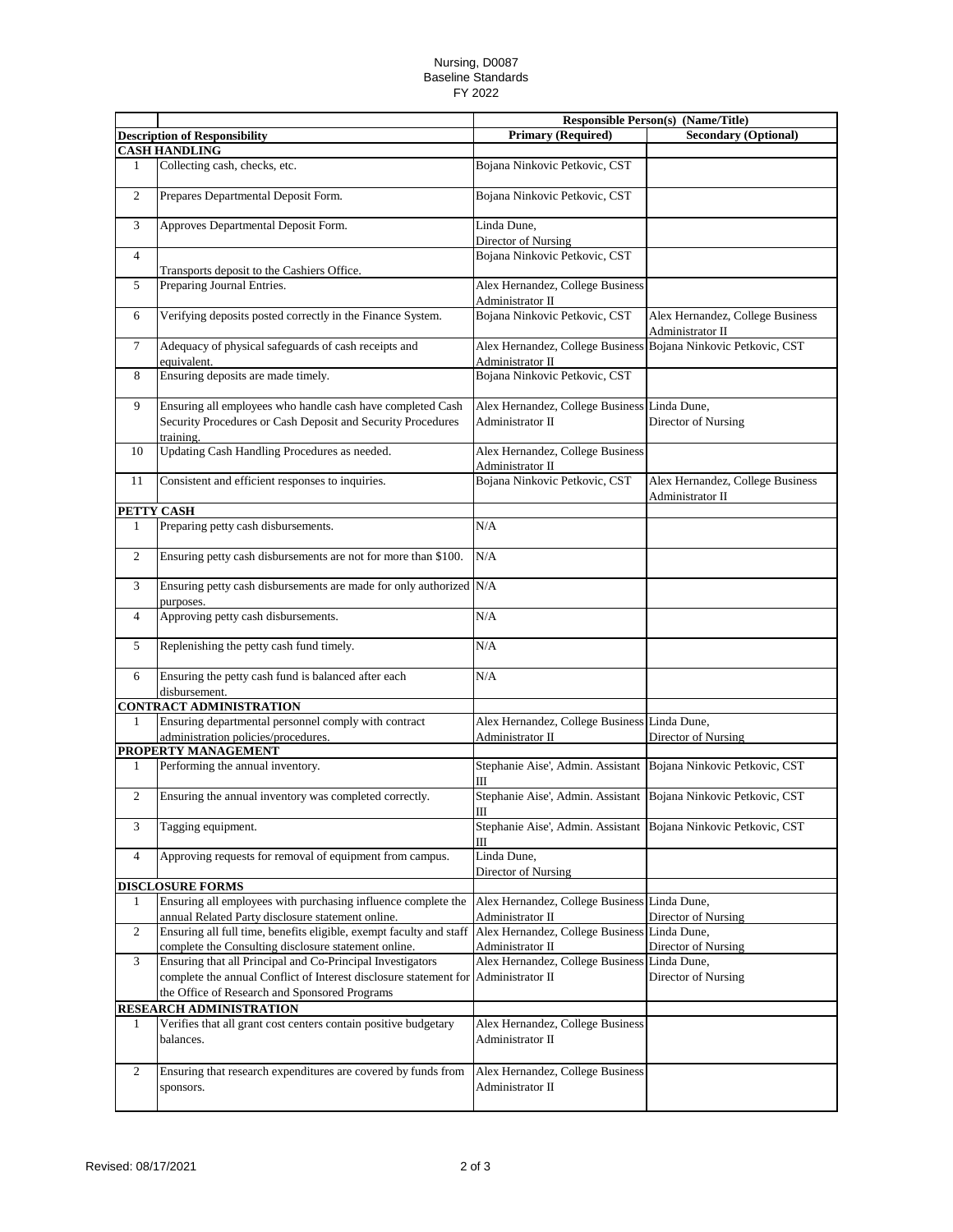## Nursing, D0087 Baseline Standards FY 2022

|                |                                                                                                                             |                                                                                    | <b>Responsible Person(s) (Name/Title)</b>            |
|----------------|-----------------------------------------------------------------------------------------------------------------------------|------------------------------------------------------------------------------------|------------------------------------------------------|
|                | <b>Description of Responsibility</b>                                                                                        | <b>Primary (Required)</b>                                                          | <b>Secondary (Optional)</b>                          |
|                | <b>CASH HANDLING</b>                                                                                                        |                                                                                    |                                                      |
| $\mathbf{1}$   | Collecting cash, checks, etc.                                                                                               | Bojana Ninkovic Petkovic, CST                                                      |                                                      |
| $\overline{c}$ | Prepares Departmental Deposit Form.                                                                                         | Bojana Ninkovic Petkovic, CST                                                      |                                                      |
| 3              | Approves Departmental Deposit Form.                                                                                         | Linda Dune,<br>Director of Nursing                                                 |                                                      |
| $\overline{4}$ | Transports deposit to the Cashiers Office.                                                                                  | Bojana Ninkovic Petkovic, CST                                                      |                                                      |
| 5              | Preparing Journal Entries.                                                                                                  | Alex Hernandez, College Business<br>Administrator II                               |                                                      |
| 6              | Verifying deposits posted correctly in the Finance System.                                                                  | Bojana Ninkovic Petkovic, CST                                                      | Alex Hernandez, College Business<br>Administrator II |
| $\tau$         | Adequacy of physical safeguards of cash receipts and<br>equivalent.                                                         | Alex Hernandez, College Business Bojana Ninkovic Petkovic, CST<br>Administrator II |                                                      |
| 8              | Ensuring deposits are made timely.                                                                                          | Bojana Ninkovic Petkovic, CST                                                      |                                                      |
| 9              | Ensuring all employees who handle cash have completed Cash                                                                  | Alex Hernandez, College Business Linda Dune,                                       |                                                      |
|                | Security Procedures or Cash Deposit and Security Procedures<br>training.                                                    | Administrator II                                                                   | Director of Nursing                                  |
| 10             | Updating Cash Handling Procedures as needed.                                                                                | Alex Hernandez, College Business<br>Administrator II                               |                                                      |
| 11             | Consistent and efficient responses to inquiries.                                                                            | Bojana Ninkovic Petkovic, CST                                                      | Alex Hernandez, College Business<br>Administrator II |
| PETTY CASH     |                                                                                                                             |                                                                                    |                                                      |
| 1              | Preparing petty cash disbursements.                                                                                         | N/A                                                                                |                                                      |
| $\overline{c}$ | Ensuring petty cash disbursements are not for more than \$100.                                                              | N/A                                                                                |                                                      |
| 3              | Ensuring petty cash disbursements are made for only authorized N/A<br>purposes.                                             |                                                                                    |                                                      |
| $\overline{4}$ | Approving petty cash disbursements.                                                                                         | N/A                                                                                |                                                      |
| 5              | Replenishing the petty cash fund timely.                                                                                    | N/A                                                                                |                                                      |
| 6              | Ensuring the petty cash fund is balanced after each<br>disbursement.                                                        | N/A                                                                                |                                                      |
|                | <b>CONTRACT ADMINISTRATION</b>                                                                                              |                                                                                    |                                                      |
| 1              | Ensuring departmental personnel comply with contract<br>administration policies/procedures.                                 | Alex Hernandez, College Business Linda Dune,<br>Administrator II                   | Director of Nursing                                  |
|                | PROPERTY MANAGEMENT                                                                                                         |                                                                                    |                                                      |
| 1              | Performing the annual inventory.                                                                                            | Stephanie Aise', Admin. Assistant<br>Ш                                             | Bojana Ninkovic Petkovic, CST                        |
| $\mathbf{2}$   | Ensuring the annual inventory was completed correctly.                                                                      | Stephanie Aise', Admin. Assistant<br>Ш                                             | Bojana Ninkovic Petkovic, CST                        |
| 3              | Tagging equipment.                                                                                                          | Stephanie Aise', Admin. Assistant<br>Ш                                             | Bojana Ninkovic Petkovic, CST                        |
| $\overline{4}$ | Approving requests for removal of equipment from campus.                                                                    | Linda Dune,<br>Director of Nursing                                                 |                                                      |
|                | <b>DISCLOSURE FORMS</b>                                                                                                     |                                                                                    |                                                      |
| 1              | Ensuring all employees with purchasing influence complete the<br>annual Related Party disclosure statement online.          | Alex Hernandez, College Business Linda Dune,<br>Administrator II                   | Director of Nursing                                  |
| 2              | Ensuring all full time, benefits eligible, exempt faculty and staff<br>complete the Consulting disclosure statement online. | Alex Hernandez, College Business Linda Dune,<br>Administrator II                   | Director of Nursing                                  |
| 3              | Ensuring that all Principal and Co-Principal Investigators                                                                  | Alex Hernandez, College Business Linda Dune,                                       |                                                      |
|                | complete the annual Conflict of Interest disclosure statement for<br>the Office of Research and Sponsored Programs          | Administrator II                                                                   | Director of Nursing                                  |
|                | RESEARCH ADMINISTRATION                                                                                                     |                                                                                    |                                                      |
| 1              | Verifies that all grant cost centers contain positive budgetary                                                             | Alex Hernandez, College Business                                                   |                                                      |
|                | balances.                                                                                                                   | Administrator II                                                                   |                                                      |
| 2              | Ensuring that research expenditures are covered by funds from<br>sponsors.                                                  | Alex Hernandez, College Business<br>Administrator II                               |                                                      |